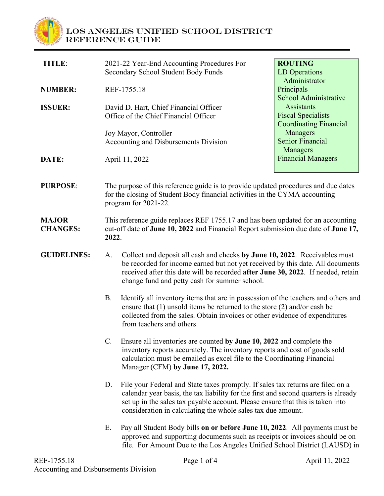

## **Los Angeles Unified School District REFERENCE GUIDE**

| <b>TITLE:</b>                   |                                                                                                                                                                                           | 2021-22 Year-End Accounting Procedures For<br>Secondary School Student Body Funds                                                                                                                                                                                                                                        | <b>ROUTING</b><br>LD Operations                                                 |
|---------------------------------|-------------------------------------------------------------------------------------------------------------------------------------------------------------------------------------------|--------------------------------------------------------------------------------------------------------------------------------------------------------------------------------------------------------------------------------------------------------------------------------------------------------------------------|---------------------------------------------------------------------------------|
| <b>NUMBER:</b>                  | REF-1755.18                                                                                                                                                                               |                                                                                                                                                                                                                                                                                                                          | Administrator<br>Principals<br>School Administrative                            |
| <b>ISSUER:</b>                  |                                                                                                                                                                                           | David D. Hart, Chief Financial Officer<br>Office of the Chief Financial Officer                                                                                                                                                                                                                                          | <b>Assistants</b><br><b>Fiscal Specialists</b><br><b>Coordinating Financial</b> |
|                                 |                                                                                                                                                                                           | Joy Mayor, Controller<br>Accounting and Disbursements Division                                                                                                                                                                                                                                                           | Managers<br><b>Senior Financial</b>                                             |
| DATE:                           |                                                                                                                                                                                           | April 11, 2022                                                                                                                                                                                                                                                                                                           | Managers<br><b>Financial Managers</b>                                           |
| <b>PURPOSE:</b>                 | The purpose of this reference guide is to provide updated procedures and due dates<br>for the closing of Student Body financial activities in the CYMA accounting<br>program for 2021-22. |                                                                                                                                                                                                                                                                                                                          |                                                                                 |
| <b>MAJOR</b><br><b>CHANGES:</b> | This reference guide replaces REF 1755.17 and has been updated for an accounting<br>cut-off date of June 10, 2022 and Financial Report submission due date of June 17,<br>2022.           |                                                                                                                                                                                                                                                                                                                          |                                                                                 |
| <b>GUIDELINES:</b>              | A.                                                                                                                                                                                        | Collect and deposit all cash and checks by June 10, 2022. Receivables must<br>be recorded for income earned but not yet received by this date. All documents<br>received after this date will be recorded after June 30, 2022. If needed, retain<br>change fund and petty cash for summer school.                        |                                                                                 |
|                                 | <b>B.</b>                                                                                                                                                                                 | Identify all inventory items that are in possession of the teachers and others and<br>ensure that $(1)$ unsold items be returned to the store $(2)$ and/or cash be<br>collected from the sales. Obtain invoices or other evidence of expenditures<br>from teachers and others.                                           |                                                                                 |
|                                 | $C$ .                                                                                                                                                                                     | Ensure all inventories are counted by June 10, 2022 and complete the<br>inventory reports accurately. The inventory reports and cost of goods sold<br>calculation must be emailed as excel file to the Coordinating Financial<br>Manager (CFM) by June 17, 2022.                                                         |                                                                                 |
|                                 | D.                                                                                                                                                                                        | File your Federal and State taxes promptly. If sales tax returns are filed on a<br>calendar year basis, the tax liability for the first and second quarters is already<br>set up in the sales tax payable account. Please ensure that this is taken into<br>consideration in calculating the whole sales tax due amount. |                                                                                 |
|                                 | Ε.                                                                                                                                                                                        | Pay all Student Body bills on or before June 10, 2022. All payments must be<br>approved and supporting documents such as receipts or invoices should be on<br>file. For Amount Due to the Los Angeles Unified School District (LAUSD) in                                                                                 |                                                                                 |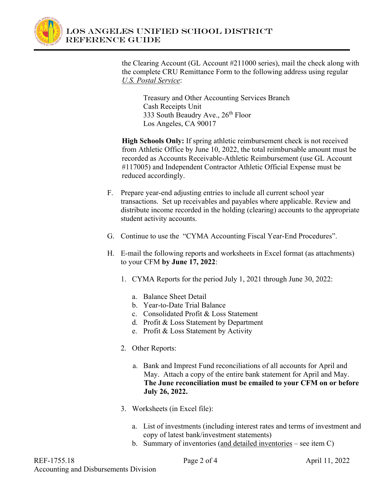

the Clearing Account (GL Account #211000 series), mail the check along with the complete CRU Remittance Form to the following address using regular *U.S. Postal Service*:

Treasury and Other Accounting Services Branch Cash Receipts Unit 333 South Beaudry Ave., 26<sup>th</sup> Floor Los Angeles, CA 90017

**High Schools Only:** If spring athletic reimbursement check is not received from Athletic Office by June 10, 2022, the total reimbursable amount must be recorded as Accounts Receivable-Athletic Reimbursement (use GL Account #117005) and Independent Contractor Athletic Official Expense must be reduced accordingly.

- F. Prepare year-end adjusting entries to include all current school year transactions. Set up receivables and payables where applicable. Review and distribute income recorded in the holding (clearing) accounts to the appropriate student activity accounts.
- G. Continue to use the "CYMA Accounting Fiscal Year-End Procedures".
- H. E-mail the following reports and worksheets in Excel format (as attachments) to your CFM **by June 17, 2022**:
	- 1. CYMA Reports for the period July 1, 2021 through June 30, 2022:
		- a. Balance Sheet Detail
		- b. Year-to-Date Trial Balance
		- c. Consolidated Profit & Loss Statement
		- d. Profit & Loss Statement by Department
		- e. Profit & Loss Statement by Activity
	- 2. Other Reports:
		- a. Bank and Imprest Fund reconciliations of all accounts for April and May. Attach a copy of the entire bank statement for April and May. **The June reconciliation must be emailed to your CFM on or before July 26, 2022.**
	- 3. Worksheets (in Excel file):
		- a. List of investments (including interest rates and terms of investment and copy of latest bank/investment statements)
		- b. Summary of inventories (and detailed inventories see item C)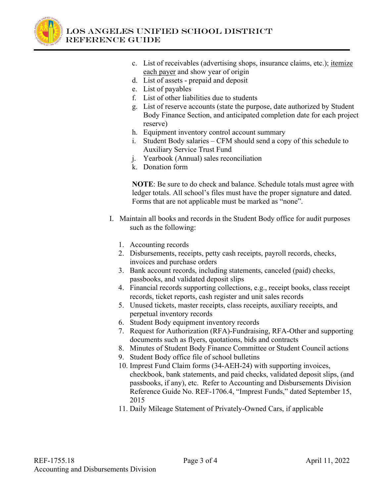

- c. List of receivables (advertising shops, insurance claims, etc.); itemize each payer and show year of origin
- d. List of assets prepaid and deposit
- e. List of payables
- f. List of other liabilities due to students
- g. List of reserve accounts (state the purpose, date authorized by Student Body Finance Section, and anticipated completion date for each project reserve)
- h. Equipment inventory control account summary
- i. Student Body salaries CFM should send a copy of this schedule to Auxiliary Service Trust Fund
- j. Yearbook (Annual) sales reconciliation
- k. Donation form

**NOTE**: Be sure to do check and balance. Schedule totals must agree with ledger totals. All school's files must have the proper signature and dated. Forms that are not applicable must be marked as "none".

- I. Maintain all books and records in the Student Body office for audit purposes such as the following:
	- 1. Accounting records
	- 2. Disbursements, receipts, petty cash receipts, payroll records, checks, invoices and purchase orders
	- 3. Bank account records, including statements, canceled (paid) checks, passbooks, and validated deposit slips
	- 4. Financial records supporting collections, e.g., receipt books, class receipt records, ticket reports, cash register and unit sales records
	- 5. Unused tickets, master receipts, class receipts, auxiliary receipts, and perpetual inventory records
	- 6. Student Body equipment inventory records
	- 7. Request for Authorization (RFA)-Fundraising, RFA-Other and supporting documents such as flyers, quotations, bids and contracts
	- 8. Minutes of Student Body Finance Committee or Student Council actions
	- 9. Student Body office file of school bulletins
	- 10. Imprest Fund Claim forms (34-AEH-24) with supporting invoices, checkbook, bank statements, and paid checks, validated deposit slips, (and passbooks, if any), etc. Refer to Accounting and Disbursements Division Reference Guide No. REF-1706.4, "Imprest Funds," dated September 15, 2015
	- 11. Daily Mileage Statement of Privately-Owned Cars, if applicable